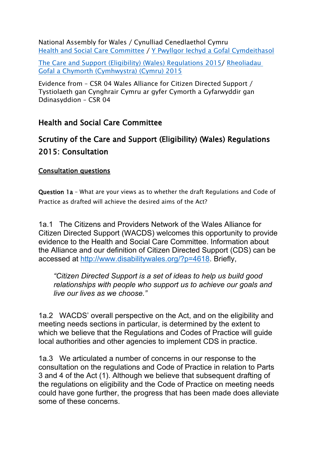National Assembly for Wales / Cynulliad Cenedlaethol Cymru Health and Social Care [Committee](http://www.senedd.assembly.wales/mgCommitteeDetails.aspx?ID=227) / Y Pwyllgor Iechyd a Gofal [Cymdeithasol](http://www.senedd.cynulliad.cymru/mgCommitteeDetails.aspx?ID=227)

The Care and Support (Eligibility) (Wales) [Regulations](http://www.senedd.assembly.wales/mgConsultationDisplay.aspx?ID=177) 2015/ [Rheoliadau](http://www.senedd.cynulliad.cymru/mgConsultationDisplay.aspx?ID=177) Gofal a Chymorth [\(Cymhwystra\)](http://www.senedd.cynulliad.cymru/mgConsultationDisplay.aspx?ID=177) (Cymru) 2015

Evidence from – CSR 04 Wales Alliance for Citizen Directed Support / Tystiolaeth gan Cynghrair Cymru ar gyfer Cymorth a Gyfarwyddir gan Ddinasyddion – CSR 04

**Health and Social Care Committee**

## **Scrutiny of the Care and Support (Eligibility) (Wales) Regulations 2015: Consultation**

## **Consultation questions**

**Question 1a** – What are your views as to whether the draft Regulations and Code of Practice as drafted will achieve the desired aims of the Act?

1a.1 The Citizens and Providers Network of the Wales Alliance for Citizen Directed Support (WACDS) welcomes this opportunity to provide evidence to the Health and Social Care Committee. Information about the Alliance and our definition of Citizen Directed Support (CDS) can be accessed at <http://www.disabilitywales.org/?p=4618>. Briefly,

*"Citizen Directed Support is a set of ideas to help us build good relationships with people who support us to achieve our goals and live our lives as we choose."*

1a.2 WACDS' overall perspective on the Act, and on the eligibility and meeting needs sections in particular, is determined by the extent to which we believe that the Regulations and Codes of Practice will guide local authorities and other agencies to implement CDS in practice.

1a.3 We articulated a number of concerns in our response to the consultation on the regulations and Code of Practice in relation to Parts 3 and 4 of the Act (1). Although we believe that subsequent drafting of the regulations on eligibility and the Code of Practice on meeting needs could have gone further, the progress that has been made does alleviate some of these concerns.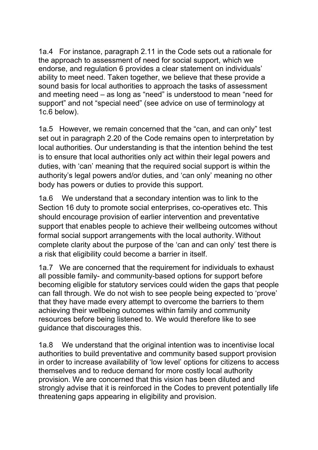1a.4 For instance, paragraph 2.11 in the Code sets out a rationale for the approach to assessment of need for social support, which we endorse, and regulation 6 provides a clear statement on individuals' ability to meet need. Taken together, we believe that these provide a sound basis for local authorities to approach the tasks of assessment and meeting need – as long as "need" is understood to mean "need for support" and not "special need" (see advice on use of terminology at 1c.6 below).

1a.5 However, we remain concerned that the "can, and can only" test set out in paragraph 2.20 of the Code remains open to interpretation by local authorities. Our understanding is that the intention behind the test is to ensure that local authorities only act within their legal powers and duties, with 'can' meaning that the required social support is within the authority's legal powers and/or duties, and 'can only' meaning no other body has powers or duties to provide this support.

1a.6 We understand that a secondary intention was to link to the Section 16 duty to promote social enterprises, co-operatives etc. This should encourage provision of earlier intervention and preventative support that enables people to achieve their wellbeing outcomes without formal social support arrangements with the local authority. Without complete clarity about the purpose of the 'can and can only' test there is a risk that eligibility could become a barrier in itself.

1a.7 We are concerned that the requirement for individuals to exhaust all possible family- and community-based options for support before becoming eligible for statutory services could widen the gaps that people can fall through. We do not wish to see people being expected to 'prove' that they have made every attempt to overcome the barriers to them achieving their wellbeing outcomes within family and community resources before being listened to. We would therefore like to see guidance that discourages this.

1a.8 We understand that the original intention was to incentivise local authorities to build preventative and community based support provision in order to increase availability of 'low level' options for citizens to access themselves and to reduce demand for more costly local authority provision. We are concerned that this vision has been diluted and strongly advise that it is reinforced in the Codes to prevent potentially life threatening gaps appearing in eligibility and provision.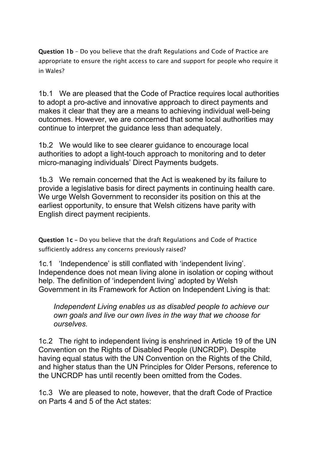**Question 1b** – Do you believe that the draft Regulations and Code of Practice are appropriate to ensure the right access to care and support for people who require it in Wales?

1b.1 We are pleased that the Code of Practice requires local authorities to adopt a pro-active and innovative approach to direct payments and makes it clear that they are a means to achieving individual well-being outcomes. However, we are concerned that some local authorities may continue to interpret the guidance less than adequately.

1b.2 We would like to see clearer guidance to encourage local authorities to adopt a light-touch approach to monitoring and to deter micro-managing individuals' Direct Payments budgets.

1b.3 We remain concerned that the Act is weakened by its failure to provide a legislative basis for direct payments in continuing health care. We urge Welsh Government to reconsider its position on this at the earliest opportunity, to ensure that Welsh citizens have parity with English direct payment recipients.

**Question 1c –** Do you believe that the draft Regulations and Code of Practice sufficiently address any concerns previously raised?

1c.1 'Independence' is still conflated with 'independent living'. Independence does not mean living alone in isolation or coping without help. The definition of 'independent living' adopted by Welsh Government in its Framework for Action on Independent Living is that:

*Independent Living enables us as disabled people to achieve our own goals and live our own lives in the way that we choose for ourselves.*

1c.2 The right to independent living is enshrined in Article 19 of the UN Convention on the Rights of Disabled People (UNCRDP). Despite having equal status with the UN Convention on the Rights of the Child, and higher status than the UN Principles for Older Persons, reference to the UNCRDP has until recently been omitted from the Codes.

1c.3 We are pleased to note, however, that the draft Code of Practice on Parts 4 and 5 of the Act states: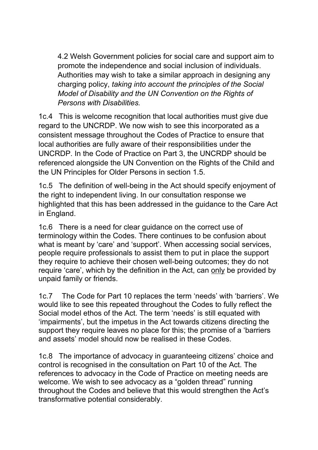4.2 Welsh Government policies for social care and support aim to promote the independence and social inclusion of individuals. Authorities may wish to take a similar approach in designing any charging policy, *taking into account the principles of the Social Model of Disability and the UN Convention on the Rights of Persons with Disabilities.*

1c.4 This is welcome recognition that local authorities must give due regard to the UNCRDP. We now wish to see this incorporated as a consistent message throughout the Codes of Practice to ensure that local authorities are fully aware of their responsibilities under the UNCRDP. In the Code of Practice on Part 3, the UNCRDP should be referenced alongside the UN Convention on the Rights of the Child and the UN Principles for Older Persons in section 1.5.

1c.5 The definition of well-being in the Act should specify enjoyment of the right to independent living. In our consultation response we highlighted that this has been addressed in the guidance to the Care Act in England.

1c.6 There is a need for clear guidance on the correct use of terminology within the Codes. There continues to be confusion about what is meant by 'care' and 'support'. When accessing social services, people require professionals to assist them to put in place the support they require to achieve their chosen well-being outcomes; they do not require 'care', which by the definition in the Act, can only be provided by unpaid family or friends.

1c.7 The Code for Part 10 replaces the term 'needs' with 'barriers'. We would like to see this repeated throughout the Codes to fully reflect the Social model ethos of the Act. The term 'needs' is still equated with 'impairments', but the impetus in the Act towards citizens directing the support they require leaves no place for this; the promise of a 'barriers and assets' model should now be realised in these Codes.

1c.8 The importance of advocacy in guaranteeing citizens' choice and control is recognised in the consultation on Part 10 of the Act. The references to advocacy in the Code of Practice on meeting needs are welcome. We wish to see advocacy as a "golden thread" running throughout the Codes and believe that this would strengthen the Act's transformative potential considerably.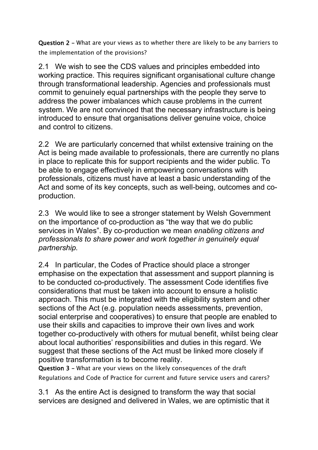**Question 2 –** What are your views as to whether there are likely to be any barriers to the implementation of the provisions?

2.1 We wish to see the CDS values and principles embedded into working practice. This requires significant organisational culture change through transformational leadership. Agencies and professionals must commit to genuinely equal partnerships with the people they serve to address the power imbalances which cause problems in the current system. We are not convinced that the necessary infrastructure is being introduced to ensure that organisations deliver genuine voice, choice and control to citizens.

2.2 We are particularly concerned that whilst extensive training on the Act is being made available to professionals, there are currently no plans in place to replicate this for support recipients and the wider public. To be able to engage effectively in empowering conversations with professionals, citizens must have at least a basic understanding of the Act and some of its key concepts, such as well-being, outcomes and coproduction.

2.3 We would like to see a stronger statement by Welsh Government on the importance of co-production as "the way that we do public services in Wales". By co-production we mean *enabling citizens and professionals to share power and work together in genuinely equal partnership.*

2.4 In particular, the Codes of Practice should place a stronger emphasise on the expectation that assessment and support planning is to be conducted co-productively. The assessment Code identifies five considerations that must be taken into account to ensure a holistic approach. This must be integrated with the eligibility system and other sections of the Act (e.g. population needs assessments, prevention, social enterprise and cooperatives) to ensure that people are enabled to use their skills and capacities to improve their own lives and work together co-productively with others for mutual benefit, whilst being clear about local authorities' responsibilities and duties in this regard. We suggest that these sections of the Act must be linked more closely if positive transformation is to become reality.

**Question 3 –** What are your views on the likely consequences of the draft Regulations and Code of Practice for current and future service users and carers?

3.1 As the entire Act is designed to transform the way that social services are designed and delivered in Wales, we are optimistic that it